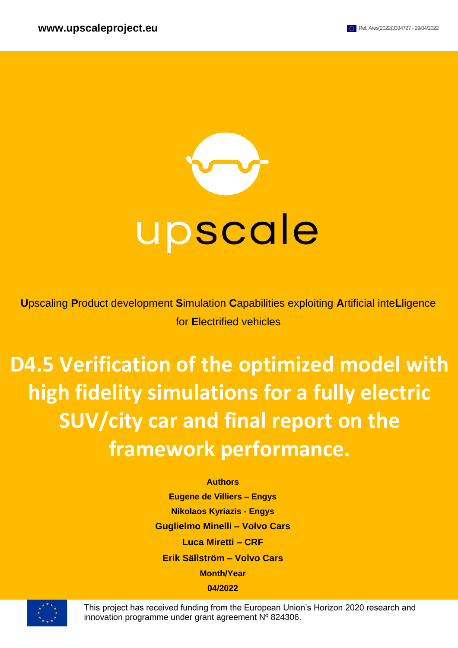

**U**pscaling **P**roduct development **S**imulation **C**apabilities exploiting **A**rtificial inte**L**ligence for **E**lectrified vehicles

# **D4.5 Verification of the optimized model with high fidelity simulations for a fully electric SUV/city car and final report on the framework performance.**

#### **Authors**

**Eugene de Villiers – Engys Nikolaos Kyriazis - Engys Guglielmo Minelli – Volvo Cars Luca Miretti – CRF Erik Sällström – Volvo Cars Month/Year 04/2022**



This project has received funding from the European Union's Horizon 2020 research and innovation programme under grant agreement Nº 824306.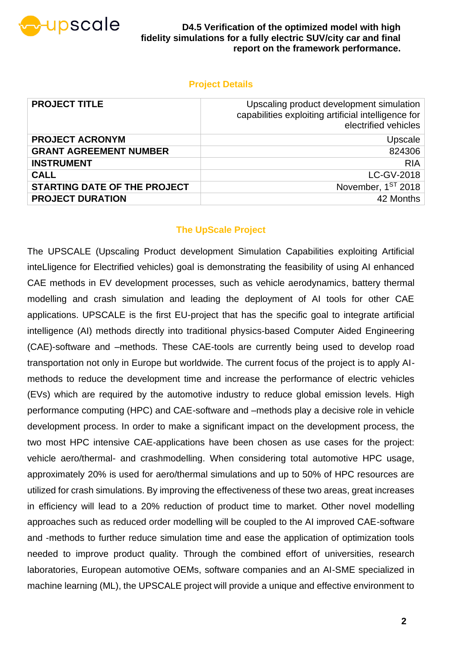

### **Project Details**

| <b>PROJECT TITLE</b>                | Upscaling product development simulation<br>capabilities exploiting artificial intelligence for<br>electrified vehicles |
|-------------------------------------|-------------------------------------------------------------------------------------------------------------------------|
| <b>PROJECT ACRONYM</b>              | Upscale                                                                                                                 |
| <b>GRANT AGREEMENT NUMBER</b>       | 824306                                                                                                                  |
| <b>INSTRUMENT</b>                   | <b>RIA</b>                                                                                                              |
| <b>CALL</b>                         | LC-GV-2018                                                                                                              |
| <b>STARTING DATE OF THE PROJECT</b> | November, 1ST 2018                                                                                                      |
| <b>PROJECT DURATION</b>             | 42 Months                                                                                                               |

### **The UpScale Project**

The UPSCALE (Upscaling Product development Simulation Capabilities exploiting Artificial inteLligence for Electrified vehicles) goal is demonstrating the feasibility of using AI enhanced CAE methods in EV development processes, such as vehicle aerodynamics, battery thermal modelling and crash simulation and leading the deployment of AI tools for other CAE applications. UPSCALE is the first EU-project that has the specific goal to integrate artificial intelligence (AI) methods directly into traditional physics-based Computer Aided Engineering (CAE)-software and –methods. These CAE-tools are currently being used to develop road transportation not only in Europe but worldwide. The current focus of the project is to apply AImethods to reduce the development time and increase the performance of electric vehicles (EVs) which are required by the automotive industry to reduce global emission levels. High performance computing (HPC) and CAE-software and –methods play a decisive role in vehicle development process. In order to make a significant impact on the development process, the two most HPC intensive CAE-applications have been chosen as use cases for the project: vehicle aero/thermal- and crashmodelling. When considering total automotive HPC usage, approximately 20% is used for aero/thermal simulations and up to 50% of HPC resources are utilized for crash simulations. By improving the effectiveness of these two areas, great increases in efficiency will lead to a 20% reduction of product time to market. Other novel modelling approaches such as reduced order modelling will be coupled to the AI improved CAE-software and -methods to further reduce simulation time and ease the application of optimization tools needed to improve product quality. Through the combined effort of universities, research laboratories, European automotive OEMs, software companies and an AI-SME specialized in machine learning (ML), the UPSCALE project will provide a unique and effective environment to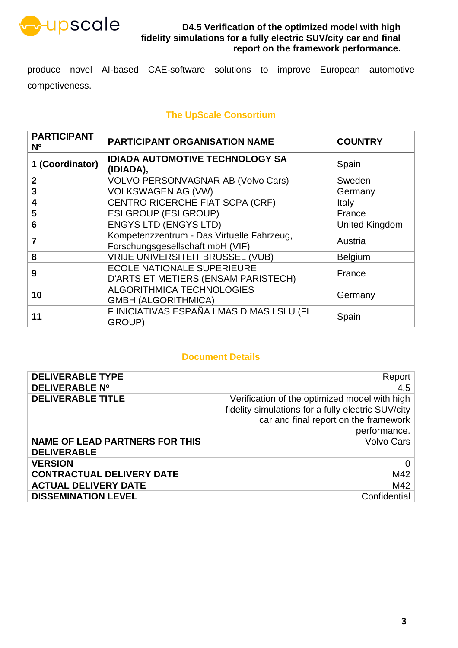

produce novel AI-based CAE-software solutions to improve European automotive competiveness.

### **The UpScale Consortium**

| <b>PARTICIPANT</b><br>N <sub>o</sub> | <b>PARTICIPANT ORGANISATION NAME</b>                                           | <b>COUNTRY</b>        |
|--------------------------------------|--------------------------------------------------------------------------------|-----------------------|
| 1 (Coordinator)                      | <b>IDIADA AUTOMOTIVE TECHNOLOGY SA</b><br>(IDIADA),                            | Spain                 |
| $\mathbf{2}$                         | VOLVO PERSONVAGNAR AB (Volvo Cars)                                             | Sweden                |
| 3                                    | <b>VOLKSWAGEN AG (VW)</b>                                                      | Germany               |
| 4                                    | CENTRO RICERCHE FIAT SCPA (CRF)                                                | <b>Italy</b>          |
| 5                                    | <b>ESI GROUP (ESI GROUP)</b>                                                   | France                |
| 6                                    | <b>ENGYS LTD (ENGYS LTD)</b>                                                   | <b>United Kingdom</b> |
| 7                                    | Kompetenzzentrum - Das Virtuelle Fahrzeug,<br>Forschungsgesellschaft mbH (VIF) | Austria               |
| 8                                    | <b>VRIJE UNIVERSITEIT BRUSSEL (VUB)</b>                                        | <b>Belgium</b>        |
| 9                                    | <b>ECOLE NATIONALE SUPERIEURE</b><br>D'ARTS ET METIERS (ENSAM PARISTECH)       | France                |
| 10                                   | ALGORITHMICA TECHNOLOGIES<br><b>GMBH (ALGORITHMICA)</b>                        | Germany               |
| 11                                   | F INICIATIVAS ESPAÑA I MAS D MAS I SLU (FI<br>GROUP)                           | Spain                 |

#### **Document Details**

| <b>DELIVERABLE TYPE</b>                                     | Report                                                                                                                                                       |
|-------------------------------------------------------------|--------------------------------------------------------------------------------------------------------------------------------------------------------------|
| <b>DELIVERABLE Nº</b>                                       | 4.5                                                                                                                                                          |
| <b>DELIVERABLE TITLE</b>                                    | Verification of the optimized model with high<br>fidelity simulations for a fully electric SUV/city<br>car and final report on the framework<br>performance. |
| <b>NAME OF LEAD PARTNERS FOR THIS</b><br><b>DELIVERABLE</b> | <b>Volvo Cars</b>                                                                                                                                            |
| <b>VERSION</b>                                              | 0                                                                                                                                                            |
| <b>CONTRACTUAL DELIVERY DATE</b>                            | M42                                                                                                                                                          |
| <b>ACTUAL DELIVERY DATE</b>                                 | M42                                                                                                                                                          |
| <b>DISSEMINATION LEVEL</b>                                  | Confidential                                                                                                                                                 |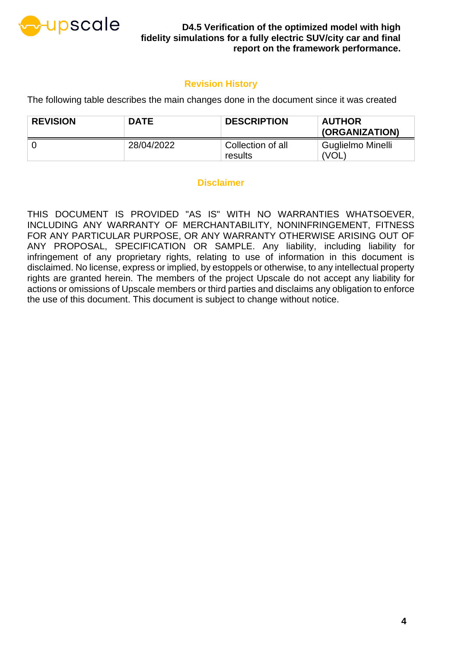

### **Revision History**

The following table describes the main changes done in the document since it was created

| <b>REVISION</b> | <b>DATE</b> | <b>DESCRIPTION</b>           | <b>AUTHOR</b><br>(ORGANIZATION) |
|-----------------|-------------|------------------------------|---------------------------------|
|                 | 28/04/2022  | Collection of all<br>results | Guglielmo Minelli<br>'VOL       |

#### **Disclaimer**

THIS DOCUMENT IS PROVIDED "AS IS" WITH NO WARRANTIES WHATSOEVER, INCLUDING ANY WARRANTY OF MERCHANTABILITY, NONINFRINGEMENT, FITNESS FOR ANY PARTICULAR PURPOSE, OR ANY WARRANTY OTHERWISE ARISING OUT OF ANY PROPOSAL, SPECIFICATION OR SAMPLE. Any liability, including liability for infringement of any proprietary rights, relating to use of information in this document is disclaimed. No license, express or implied, by estoppels or otherwise, to any intellectual property rights are granted herein. The members of the project Upscale do not accept any liability for actions or omissions of Upscale members or third parties and disclaims any obligation to enforce the use of this document. This document is subject to change without notice.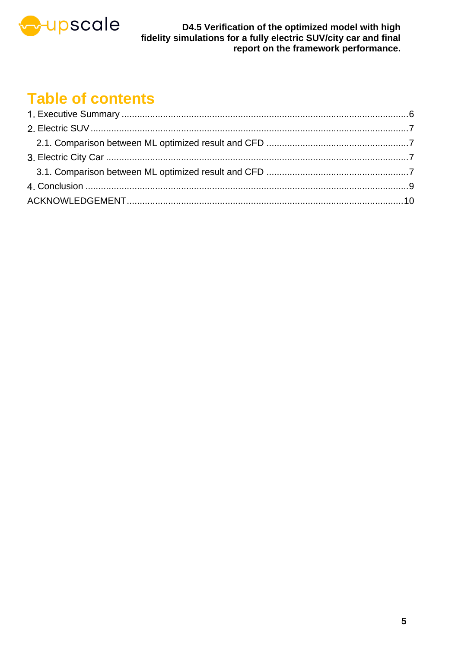

## **Table of contents**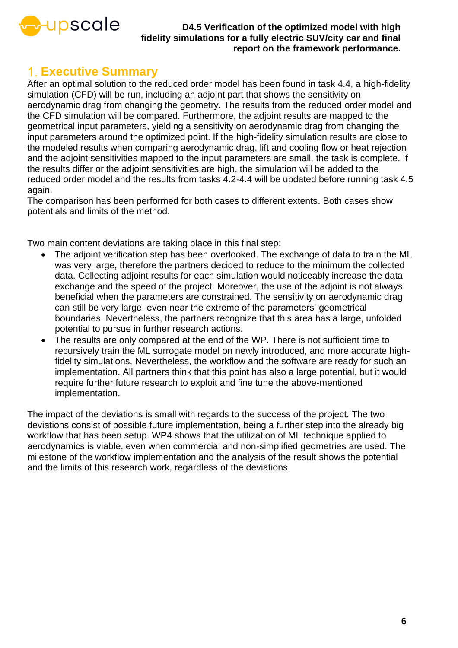

### <span id="page-5-0"></span>**Executive Summary**

After an optimal solution to the reduced order model has been found in task 4.4, a high-fidelity simulation (CFD) will be run, including an adjoint part that shows the sensitivity on aerodynamic drag from changing the geometry. The results from the reduced order model and the CFD simulation will be compared. Furthermore, the adjoint results are mapped to the geometrical input parameters, yielding a sensitivity on aerodynamic drag from changing the input parameters around the optimized point. If the high-fidelity simulation results are close to the modeled results when comparing aerodynamic drag, lift and cooling flow or heat rejection and the adjoint sensitivities mapped to the input parameters are small, the task is complete. If the results differ or the adjoint sensitivities are high, the simulation will be added to the reduced order model and the results from tasks 4.2-4.4 will be updated before running task 4.5 again.

The comparison has been performed for both cases to different extents. Both cases show potentials and limits of the method.

Two main content deviations are taking place in this final step:

- The adjoint verification step has been overlooked. The exchange of data to train the ML was very large, therefore the partners decided to reduce to the minimum the collected data. Collecting adjoint results for each simulation would noticeably increase the data exchange and the speed of the project. Moreover, the use of the adjoint is not always beneficial when the parameters are constrained. The sensitivity on aerodynamic drag can still be very large, even near the extreme of the parameters' geometrical boundaries. Nevertheless, the partners recognize that this area has a large, unfolded potential to pursue in further research actions.
- The results are only compared at the end of the WP. There is not sufficient time to recursively train the ML surrogate model on newly introduced, and more accurate highfidelity simulations. Nevertheless, the workflow and the software are ready for such an implementation. All partners think that this point has also a large potential, but it would require further future research to exploit and fine tune the above-mentioned implementation.

The impact of the deviations is small with regards to the success of the project. The two deviations consist of possible future implementation, being a further step into the already big workflow that has been setup. WP4 shows that the utilization of ML technique applied to aerodynamics is viable, even when commercial and non-simplified geometries are used. The milestone of the workflow implementation and the analysis of the result shows the potential and the limits of this research work, regardless of the deviations.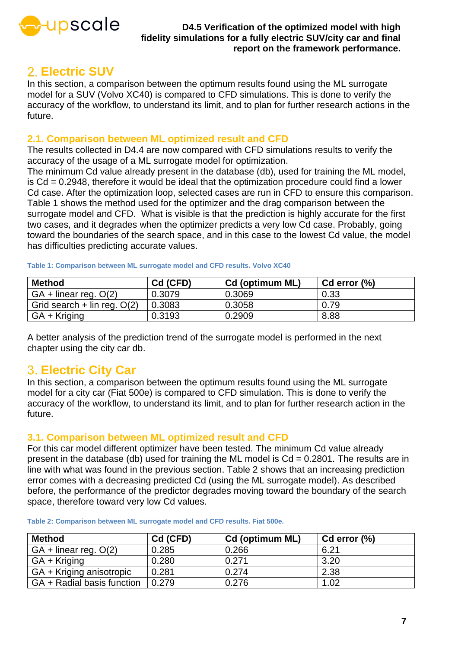

### <span id="page-6-0"></span>**Electric SUV**

In this section, a comparison between the optimum results found using the ML surrogate model for a SUV (Volvo XC40) is compared to CFD simulations. This is done to verify the accuracy of the workflow, to understand its limit, and to plan for further research actions in the future.

### <span id="page-6-1"></span>**2.1. Comparison between ML optimized result and CFD**

The results collected in D4.4 are now compared with CFD simulations results to verify the accuracy of the usage of a ML surrogate model for optimization.

The minimum Cd value already present in the database (db), used for training the ML model, is Cd = 0.2948, therefore it would be ideal that the optimization procedure could find a lower Cd case. After the optimization loop, selected cases are run in CFD to ensure this comparison. [Table 1](#page-6-4) shows the method used for the optimizer and the drag comparison between the surrogate model and CFD. What is visible is that the prediction is highly accurate for the first two cases, and it degrades when the optimizer predicts a very low Cd case. Probably, going toward the boundaries of the search space, and in this case to the lowest Cd value, the model has difficulties predicting accurate values.

| <b>Method</b>                 | Cd (CFD) | <b>Cd (optimum ML)</b> | $Cd$ error $(\%)$ |
|-------------------------------|----------|------------------------|-------------------|
| $GA + linear reg. O(2)$       | 0.3079   | 0.3069                 | 0.33              |
| Grid search + lin reg. $O(2)$ | 0.3083   | 0.3058                 | 0.79              |
| $GA + Kriging$                | 0.3193   | 0.2909                 | 8.88              |

<span id="page-6-4"></span>**Table 1: Comparison between ML surrogate model and CFD results. Volvo XC40**

A better analysis of the prediction trend of the surrogate model is performed in the next chapter using the city car db.

### <span id="page-6-2"></span>**Electric City Car**

In this section, a comparison between the optimum results found using the ML surrogate model for a city car (Fiat 500e) is compared to CFD simulation. This is done to verify the accuracy of the workflow, to understand its limit, and to plan for further research action in the future.

### <span id="page-6-3"></span>**3.1. Comparison between ML optimized result and CFD**

For this car model different optimizer have been tested. The minimum Cd value already present in the database (db) used for training the ML model is  $Cd = 0.2801$ . The results are in line with what was found in the previous section. [Table 2](#page-6-5) shows that an increasing prediction error comes with a decreasing predicted Cd (using the ML surrogate model). As described before, the performance of the predictor degrades moving toward the boundary of the search space, therefore toward very low Cd values.

| <b>Method</b>              | Cd (CFD) | Cd (optimum ML) | $Cd$ error $(\%)$ |
|----------------------------|----------|-----------------|-------------------|
| $GA + linear$ reg. $O(2)$  | 0.285    | 0.266           | 6.21              |
| GA + Kriging               | 0.280    | 0.271           | 3.20              |
| GA + Kriging anisotropic   | 0.281    | 0.274           | 2.38              |
| GA + Radial basis function | 0.279    | 0.276           | 1.02              |

<span id="page-6-5"></span>**Table 2: Comparison between ML surrogate model and CFD results. Fiat 500e.**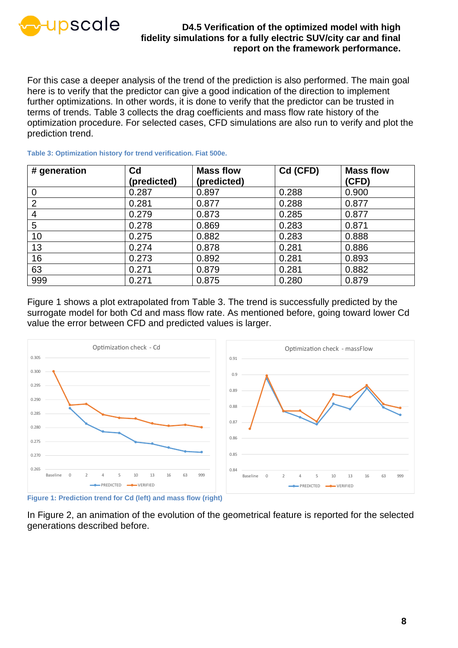

For this case a deeper analysis of the trend of the prediction is also performed. The main goal here is to verify that the predictor can give a good indication of the direction to implement further optimizations. In other words, it is done to verify that the predictor can be trusted in terms of trends. [Table 3](#page-7-0) collects the drag coefficients and mass flow rate history of the optimization procedure. For selected cases, CFD simulations are also run to verify and plot the prediction trend.

| # generation   | C <sub>d</sub> | <b>Mass flow</b> | Cd (CFD) | <b>Mass flow</b> |
|----------------|----------------|------------------|----------|------------------|
|                | (predicted)    | (predicted)      |          | (CFD)            |
| $\overline{0}$ | 0.287          | 0.897            | 0.288    | 0.900            |
| $\overline{2}$ | 0.281          | 0.877            | 0.288    | 0.877            |
| 4              | 0.279          | 0.873            | 0.285    | 0.877            |
| 5              | 0.278          | 0.869            | 0.283    | 0.871            |
| 10             | 0.275          | 0.882            | 0.283    | 0.888            |
| 13             | 0.274          | 0.878            | 0.281    | 0.886            |
| 16             | 0.273          | 0.892            | 0.281    | 0.893            |
| 63             | 0.271          | 0.879            | 0.281    | 0.882            |
| 999            | 0.271          | 0.875            | 0.280    | 0.879            |

<span id="page-7-0"></span>**Table 3: Optimization history for trend verification. Fiat 500e.**

[Figure 1](#page-7-1) shows a plot extrapolated from [Table 3.](#page-7-0) The trend is successfully predicted by the surrogate model for both Cd and mass flow rate. As mentioned before, going toward lower Cd value the error between CFD and predicted values is larger.



<span id="page-7-1"></span>**Figure 1: Prediction trend for Cd (left) and mass flow (right)**

In [Figure 2,](#page-8-1) an animation of the evolution of the geometrical feature is reported for the selected generations described before.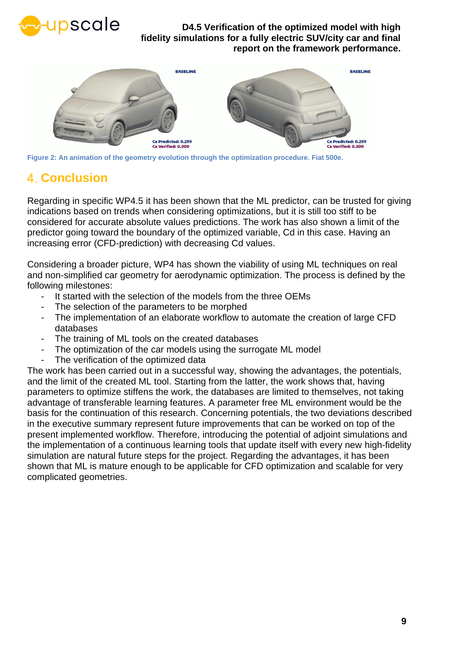



**Figure 2: An animation of the geometry evolution through the optimization procedure. Fiat 500e.**

### <span id="page-8-1"></span><span id="page-8-0"></span>**Conclusion**

Regarding in specific WP4.5 it has been shown that the ML predictor, can be trusted for giving indications based on trends when considering optimizations, but it is still too stiff to be considered for accurate absolute values predictions. The work has also shown a limit of the predictor going toward the boundary of the optimized variable, Cd in this case. Having an increasing error (CFD-prediction) with decreasing Cd values.

Considering a broader picture, WP4 has shown the viability of using ML techniques on real and non-simplified car geometry for aerodynamic optimization. The process is defined by the following milestones:

- It started with the selection of the models from the three OEMs
- The selection of the parameters to be morphed
- The implementation of an elaborate workflow to automate the creation of large CFD databases
- The training of ML tools on the created databases
- The optimization of the car models using the surrogate ML model
- The verification of the optimized data

The work has been carried out in a successful way, showing the advantages, the potentials, and the limit of the created ML tool. Starting from the latter, the work shows that, having parameters to optimize stiffens the work, the databases are limited to themselves, not taking advantage of transferable learning features. A parameter free ML environment would be the basis for the continuation of this research. Concerning potentials, the two deviations described in the executive summary represent future improvements that can be worked on top of the present implemented workflow. Therefore, introducing the potential of adjoint simulations and the implementation of a continuous learning tools that update itself with every new high-fidelity simulation are natural future steps for the project. Regarding the advantages, it has been shown that ML is mature enough to be applicable for CFD optimization and scalable for very complicated geometries.